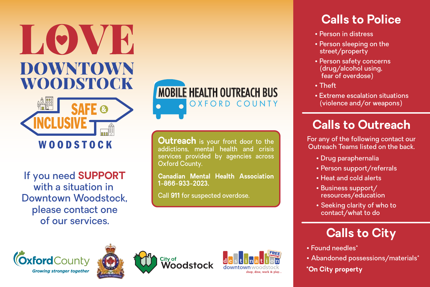



If you need **SUPPORT** with a situation in Downtown Woodstock, please contact one of our services.



**Outreach** is your front door to the addictions, mental health and crisis services provided by agencies across Oxford County.

**Canadian Mental Health Association 1-866-933-2023.** 

Call **911** for suspected overdose.

## **Calls to Police**

- Person in distress
- Person sleeping on the street/property
- Person safety concerns (drug/alcohol using, fear of overdose)
- Theft
- Extreme escalation situations (violence and/or weapons)

## **Calls to Outreach**

For any of the following contact our Outreach Teams listed on the back.

- Drug paraphernalia
- Person support/referrals
- Heat and cold alerts
- Business support/ resources/education
- Seeking clarity of who to contact/what to do

## **Calls to City**

- Found needles\*
- Abandoned possessions/materials\*

**\*On City property**